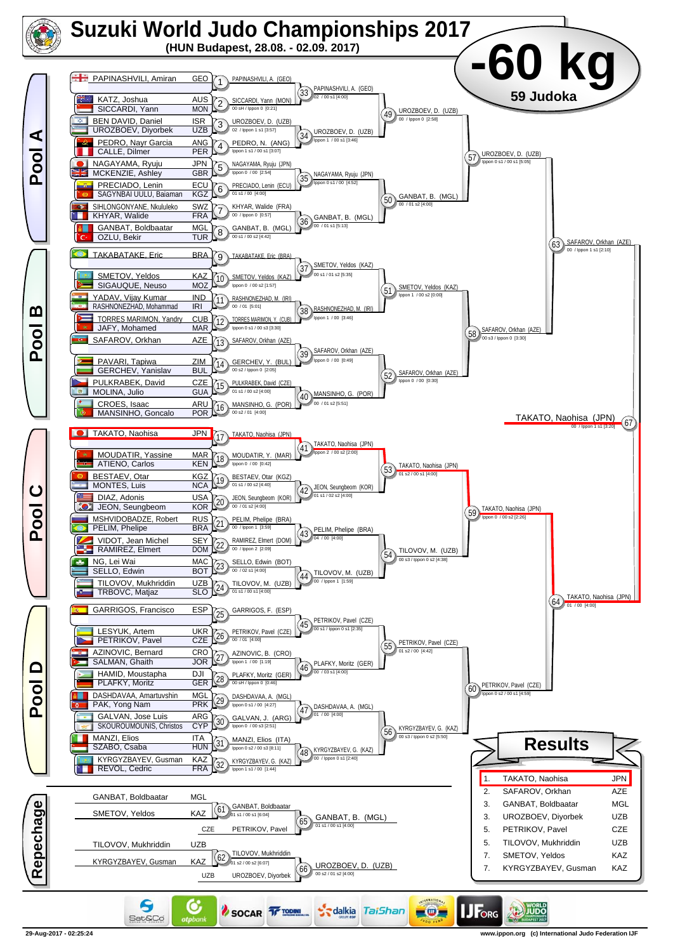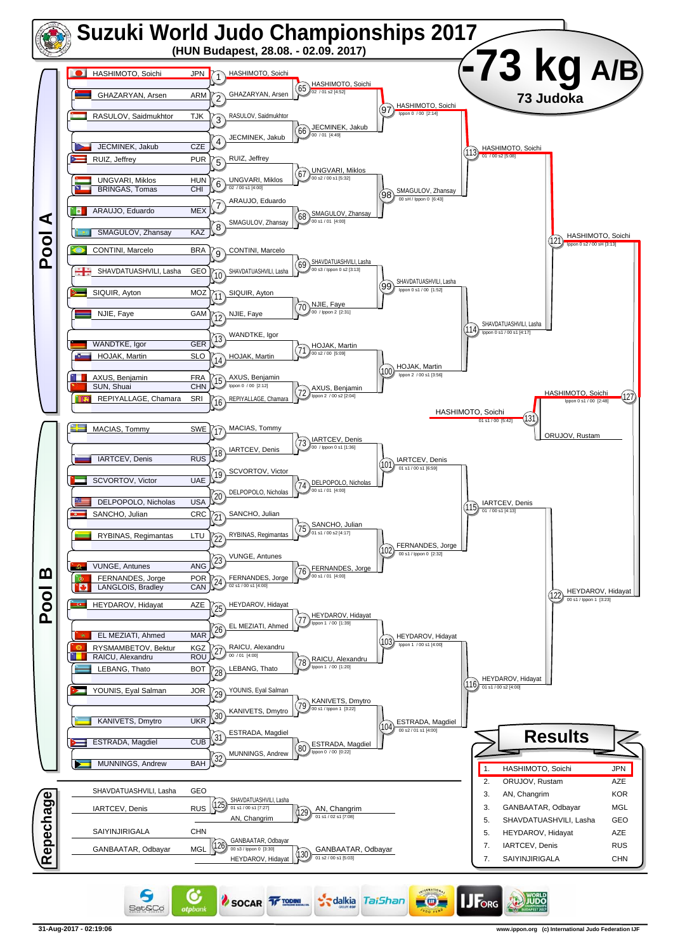